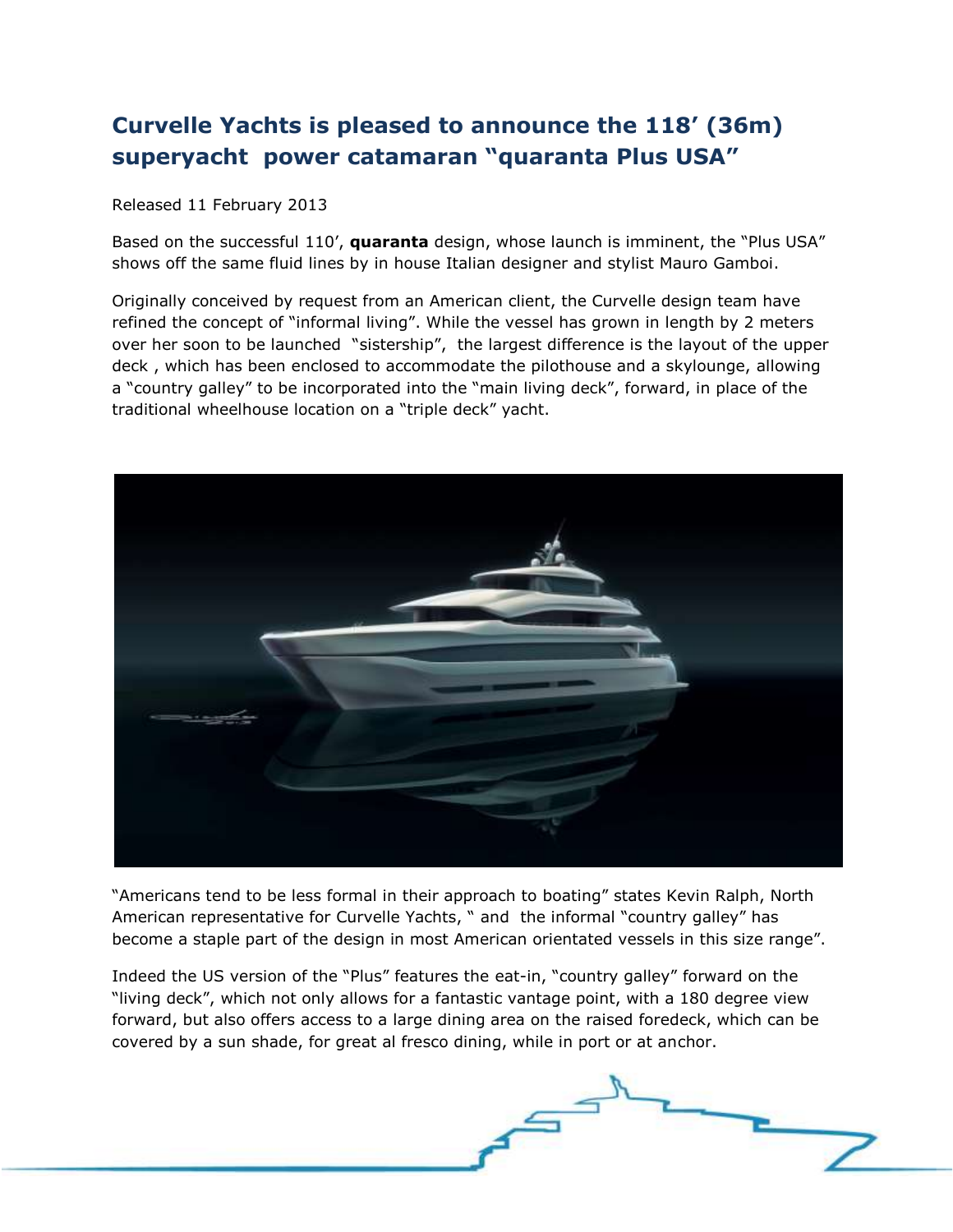## **Curvelle Yachts is pleased to announce the 118' (36m) superyacht power catamaran "quaranta Plus USA"**

Released 11 February 2013

Based on the successful 110', **quaranta** design, whose launch is imminent, the "Plus USA" shows off the same fluid lines by in house Italian designer and stylist Mauro Gamboi.

Originally conceived by request from an American client, the Curvelle design team have refined the concept of "informal living". While the vessel has grown in length by 2 meters over her soon to be launched "sistership", the largest difference is the layout of the upper deck , which has been enclosed to accommodate the pilothouse and a skylounge, allowing a "country galley" to be incorporated into the "main living deck", forward, in place of the traditional wheelhouse location on a "triple deck" yacht.



"Americans tend to be less formal in their approach to boating" states Kevin Ralph, North American representative for Curvelle Yachts, " and the informal "country galley" has become a staple part of the design in most American orientated vessels in this size range".

Indeed the US version of the "Plus" features the eat-in, "country galley" forward on the "living deck", which not only allows for a fantastic vantage point, with a 180 degree view forward, but also offers access to a large dining area on the raised foredeck, which can be covered by a sun shade, for great al fresco dining, while in port or at anchor.